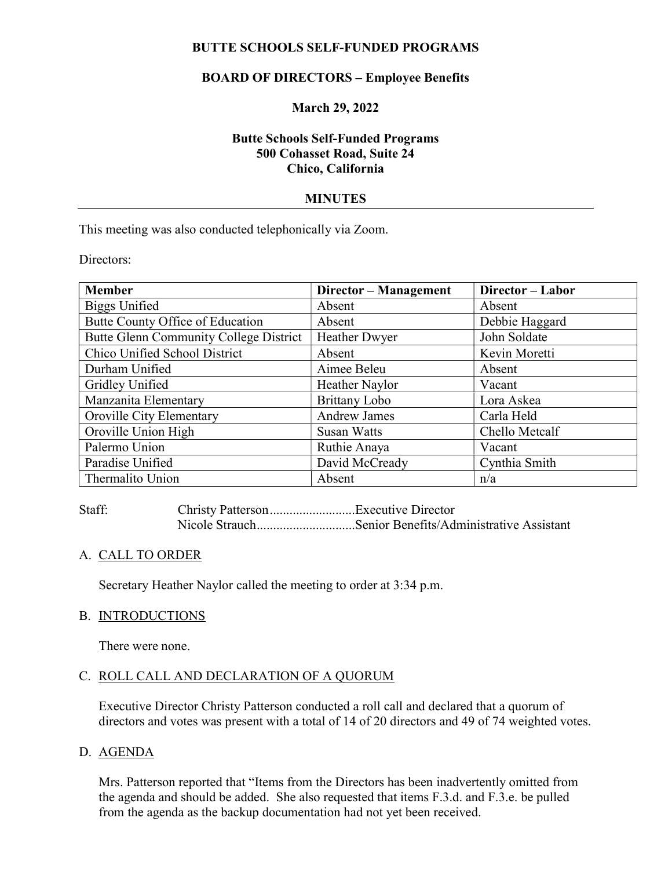## BUTTE SCHOOLS SELF-FUNDED PROGRAMS

# BOARD OF DIRECTORS – Employee Benefits

## March 29, 2022

## Butte Schools Self-Funded Programs 500 Cohasset Road, Suite 24 Chico, California

## MINUTES

This meeting was also conducted telephonically via Zoom.

Directors:

| <b>Member</b>                          | Director - Management | Director-Labor |
|----------------------------------------|-----------------------|----------------|
| <b>Biggs Unified</b>                   | Absent                | Absent         |
| Butte County Office of Education       | Absent                | Debbie Haggard |
| Butte Glenn Community College District | <b>Heather Dwyer</b>  | John Soldate   |
| Chico Unified School District          | Absent                | Kevin Moretti  |
| Durham Unified                         | Aimee Beleu           | Absent         |
| Gridley Unified                        | Heather Naylor        | Vacant         |
| Manzanita Elementary                   | <b>Brittany Lobo</b>  | Lora Askea     |
| Oroville City Elementary               | <b>Andrew James</b>   | Carla Held     |
| Oroville Union High                    | <b>Susan Watts</b>    | Chello Metcalf |
| Palermo Union                          | Ruthie Anaya          | Vacant         |
| Paradise Unified                       | David McCready        | Cynthia Smith  |
| Thermalito Union                       | Absent                | n/a            |

Staff: Christy Patterson ..........................Executive Director Nicole Strauch...............................Senior Benefits/Administrative Assistant

## A. CALL TO ORDER

Secretary Heather Naylor called the meeting to order at 3:34 p.m.

#### B. INTRODUCTIONS

There were none.

## C. ROLL CALL AND DECLARATION OF A QUORUM

Executive Director Christy Patterson conducted a roll call and declared that a quorum of directors and votes was present with a total of 14 of 20 directors and 49 of 74 weighted votes.

## D. AGENDA

Mrs. Patterson reported that "Items from the Directors has been inadvertently omitted from the agenda and should be added. She also requested that items F.3.d. and F.3.e. be pulled from the agenda as the backup documentation had not yet been received.